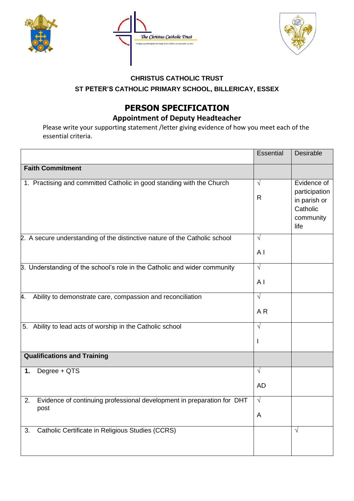





## **CHRISTUS CATHOLIC TRUST ST PETER'S CATHOLIC PRIMARY SCHOOL, BILLERICAY, ESSEX**

## **PERSON SPECIFICATION**

## **Appointment of Deputy Headteacher**

Please write your supporting statement /letter giving evidence of how you meet each of the essential criteria.

|                                                                                      | <b>Essential</b>             | <b>Desirable</b>                                                              |
|--------------------------------------------------------------------------------------|------------------------------|-------------------------------------------------------------------------------|
| <b>Faith Commitment</b>                                                              |                              |                                                                               |
| 1. Practising and committed Catholic in good standing with the Church                | $\sqrt{ }$<br>$\mathsf{R}$   | Evidence of<br>participation<br>in parish or<br>Catholic<br>community<br>life |
| 2. A secure understanding of the distinctive nature of the Catholic school           | $\sqrt{ }$<br>A <sub>1</sub> |                                                                               |
| 3. Understanding of the school's role in the Catholic and wider community            | $\sqrt{ }$<br>A <sub>1</sub> |                                                                               |
| 4.<br>Ability to demonstrate care, compassion and reconciliation                     | $\sqrt{2}$<br>AR             |                                                                               |
| 5. Ability to lead acts of worship in the Catholic school                            | $\sqrt{ }$<br>L              |                                                                               |
| <b>Qualifications and Training</b>                                                   |                              |                                                                               |
| Degree + QTS<br>1.                                                                   | $\sqrt{ }$<br><b>AD</b>      |                                                                               |
| Evidence of continuing professional development in preparation for DHT<br>2.<br>post | $\sqrt{ }$<br>A              |                                                                               |
| Catholic Certificate in Religious Studies (CCRS)<br>3.                               |                              | $\sqrt{ }$                                                                    |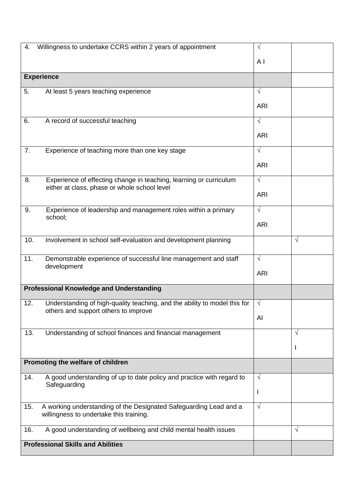| 4.  | Willingness to undertake CCRS within 2 years of appointment                                                        | $\sqrt{ }$     |            |
|-----|--------------------------------------------------------------------------------------------------------------------|----------------|------------|
|     |                                                                                                                    | A <sub>1</sub> |            |
|     |                                                                                                                    |                |            |
|     | <b>Experience</b>                                                                                                  |                |            |
| 5.  | At least 5 years teaching experience                                                                               | $\sqrt{ }$     |            |
|     |                                                                                                                    | <b>ARI</b>     |            |
|     |                                                                                                                    |                |            |
| 6.  | A record of successful teaching                                                                                    | $\sqrt{ }$     |            |
|     |                                                                                                                    | <b>ARI</b>     |            |
| 7.  | Experience of teaching more than one key stage                                                                     | $\sqrt{ }$     |            |
|     |                                                                                                                    | <b>ARI</b>     |            |
|     |                                                                                                                    |                |            |
| 8.  | Experience of effecting change in teaching, learning or curriculum<br>either at class, phase or whole school level | $\sqrt{ }$     |            |
|     |                                                                                                                    | <b>ARI</b>     |            |
| 9.  | Experience of leadership and management roles within a primary<br>school;                                          | $\sqrt{ }$     |            |
|     |                                                                                                                    | <b>ARI</b>     |            |
| 10. | Involvement in school self-evaluation and development planning                                                     |                | $\sqrt{ }$ |
|     |                                                                                                                    |                |            |
| 11. | Demonstrable experience of successful line management and staff                                                    | $\sqrt{ }$     |            |
|     | development                                                                                                        | <b>ARI</b>     |            |
|     | <b>Professional Knowledge and Understanding</b>                                                                    |                |            |
|     |                                                                                                                    |                |            |
| 12. | Understanding of high-quality teaching, and the ability to model this for                                          | $\sqrt{}$      |            |
|     | others and support others to improve                                                                               | Al             |            |
| 13. | Understanding of school finances and financial management                                                          |                | V          |
|     |                                                                                                                    |                |            |
|     |                                                                                                                    |                | ı          |
|     | Promoting the welfare of children                                                                                  |                |            |
| 14. | A good understanding of up to date policy and practice with regard to                                              | $\sqrt{ }$     |            |
|     | Safeguarding                                                                                                       | I              |            |
|     |                                                                                                                    |                |            |
| 15. | A working understanding of the Designated Safeguarding Lead and a<br>willingness to undertake this training.       | $\sqrt{ }$     |            |
| 16. | A good understanding of wellbeing and child mental health issues                                                   |                | $\sqrt{ }$ |
|     | <b>Professional Skills and Abilities</b>                                                                           |                |            |
|     |                                                                                                                    |                |            |